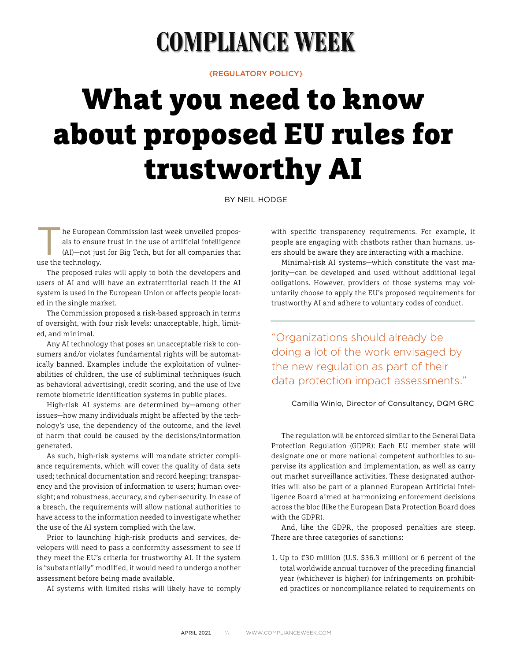## **COMPLIANCE WEEK**

{REGULATORY POLICY}

## What you need to know about proposed EU rules for trustworthy AI

BY NEIL HODGE

The European Commission last week unveiled propos-<br>als to ensure trust in the use of artificial intelligence<br>(AI)—not just for Big Tech, but for all companies that<br>use the technology als to ensure trust in the use of artificial intelligence use the technology.

The proposed rules will apply to both the developers and users of AI and will have an extraterritorial reach if the AI system is used in the European Union or affects people located in the single market.

The Commission proposed a risk-based approach in terms of oversight, with four risk levels: unacceptable, high, limited, and minimal.

Any AI technology that poses an unacceptable risk to consumers and/or violates fundamental rights will be automatically banned. Examples include the exploitation of vulnerabilities of children, the use of subliminal techniques (such as behavioral advertising), credit scoring, and the use of live remote biometric identification systems in public places.

High-risk AI systems are determined by—among other issues—how many individuals might be affected by the technology's use, the dependency of the outcome, and the level of harm that could be caused by the decisions/information generated.

As such, high-risk systems will mandate stricter compliance requirements, which will cover the quality of data sets used; technical documentation and record keeping; transparency and the provision of information to users; human oversight; and robustness, accuracy, and cyber-security. In case of a breach, the requirements will allow national authorities to have access to the information needed to investigate whether the use of the AI system complied with the law.

Prior to launching high-risk products and services, developers will need to pass a conformity assessment to see if they meet the EU's criteria for trustworthy AI. If the system is "substantially" modified, it would need to undergo another assessment before being made available.

AI systems with limited risks will likely have to comply

with specific transparency requirements. For example, if people are engaging with chatbots rather than humans, users should be aware they are interacting with a machine.

Minimal-risk AI systems—which constitute the vast majority—can be developed and used without additional legal obligations. However, providers of those systems may voluntarily choose to apply the EU's proposed requirements for trustworthy AI and adhere to voluntary codes of conduct.

"Organizations should already be doing a lot of the work envisaged by the new regulation as part of their data protection impact assessments."

## Camilla Winlo, Director of Consultancy, DQM GRC

The regulation will be enforced similar to the General Data Protection Regulation (GDPR): Each EU member state will designate one or more national competent authorities to supervise its application and implementation, as well as carry out market surveillance activities. These designated authorities will also be part of a planned European Artificial Intelligence Board aimed at harmonizing enforcement decisions across the bloc (like the European Data Protection Board does with the GDPR).

And, like the GDPR, the proposed penalties are steep. There are three categories of sanctions:

1. Up to €30 million (U.S. \$36.3 million) or 6 percent of the total worldwide annual turnover of the preceding financial year (whichever is higher) for infringements on prohibited practices or noncompliance related to requirements on